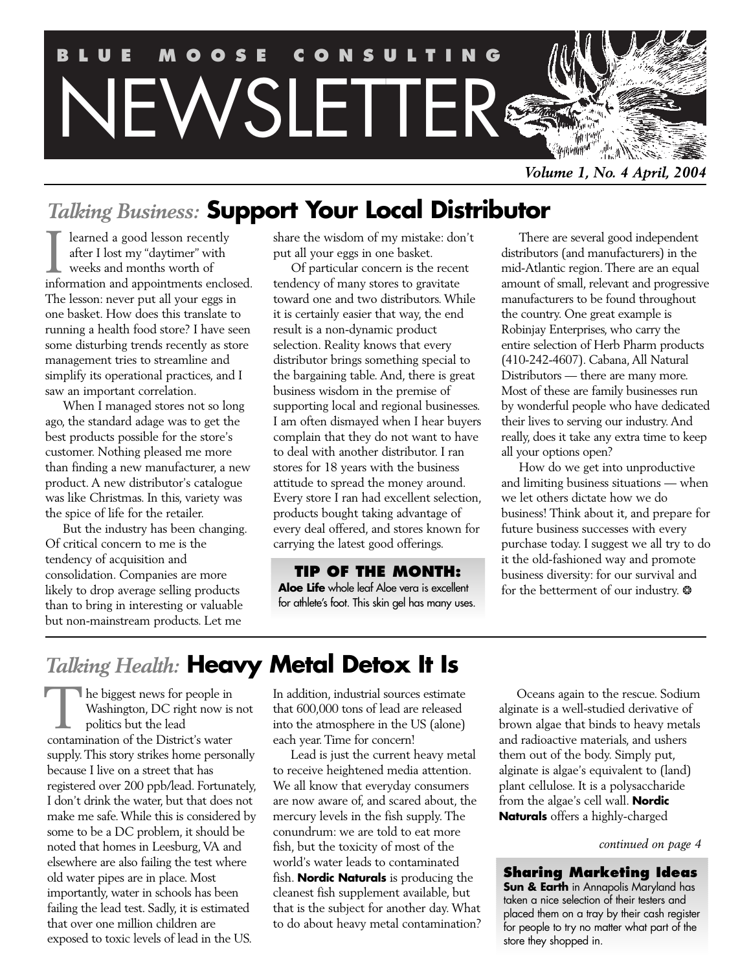

*Volume 1, No. 4 April, 2004*

### *Talking Business:* **Support Your Local Distributor**

learned a good lesson recently after I lost my "daytimer" with weeks and months worth of I learned a good lesson recently<br>after I lost my "daytimer" with<br>weeks and months worth of<br>information and appointments enclosed. The lesson: never put all your eggs in one basket. How does this translate to running a health food store? I have seen some disturbing trends recently as store management tries to streamline and simplify its operational practices, and I saw an important correlation.

When I managed stores not so long ago, the standard adage was to get the best products possible for the store's customer. Nothing pleased me more than finding a new manufacturer, a new product. A new distributor's catalogue was like Christmas. In this, variety was the spice of life for the retailer.

But the industry has been changing. Of critical concern to me is the tendency of acquisition and consolidation. Companies are more likely to drop average selling products than to bring in interesting or valuable but non-mainstream products. Let me

share the wisdom of my mistake: don't put all your eggs in one basket.

Of particular concern is the recent tendency of many stores to gravitate toward one and two distributors.While it is certainly easier that way, the end result is a non-dynamic product selection. Reality knows that every distributor brings something special to the bargaining table. And, there is great business wisdom in the premise of supporting local and regional businesses. I am often dismayed when I hear buyers complain that they do not want to have to deal with another distributor. I ran stores for 18 years with the business attitude to spread the money around. Every store I ran had excellent selection, products bought taking advantage of every deal offered, and stores known for carrying the latest good offerings.

**TIP OF THE MONTH: Aloe Life** whole leaf Aloe vera is excellent for athlete's foot. This skin gel has many uses.

There are several good independent distributors (and manufacturers) in the mid-Atlantic region.There are an equal amount of small, relevant and progressive manufacturers to be found throughout the country. One great example is Robinjay Enterprises, who carry the entire selection of Herb Pharm products (410-242-4607). Cabana,All Natural Distributors — there are many more. Most of these are family businesses run by wonderful people who have dedicated their lives to serving our industry.And really, does it take any extra time to keep all your options open?

How do we get into unproductive and limiting business situations — when we let others dictate how we do business! Think about it, and prepare for future business successes with every purchase today. I suggest we all try to do it the old-fashioned way and promote business diversity: for our survival and for the betterment of our industry. \*

### *Talking Health:* **Heavy Metal Detox It Is**

he biggest news for people in Washington, DC right now is not politics but the lead The biggest news for people in<br>Washington, DC right now is<br>politics but the lead<br>contamination of the District's water supply.This story strikes home personally because I live on a street that has registered over 200 ppb/lead. Fortunately, I don't drink the water, but that does not make me safe.While this is considered by some to be a DC problem, it should be noted that homes in Leesburg,VA and elsewhere are also failing the test where old water pipes are in place. Most importantly, water in schools has been failing the lead test. Sadly, it is estimated that over one million children are exposed to toxic levels of lead in the US.

In addition, industrial sources estimate that 600,000 tons of lead are released into the atmosphere in the US (alone) each year.Time for concern!

Lead is just the current heavy metal to receive heightened media attention. We all know that everyday consumers are now aware of, and scared about, the mercury levels in the fish supply.The conundrum: we are told to eat more fish, but the toxicity of most of the world's water leads to contaminated fish. **Nordic Naturals** is producing the cleanest fish supplement available, but that is the subject for another day.What to do about heavy metal contamination?

Oceans again to the rescue. Sodium alginate is a well-studied derivative of brown algae that binds to heavy metals and radioactive materials, and ushers them out of the body. Simply put, alginate is algae's equivalent to (land) plant cellulose. It is a polysaccharide from the algae's cell wall. **Nordic Naturals** offers a highly-charged

*continued on page 4*

**Sharing Marketing Ideas Sun & Earth** in Annapolis Maryland has taken a nice selection of their testers and placed them on a tray by their cash register for people to try no matter what part of the store they shopped in.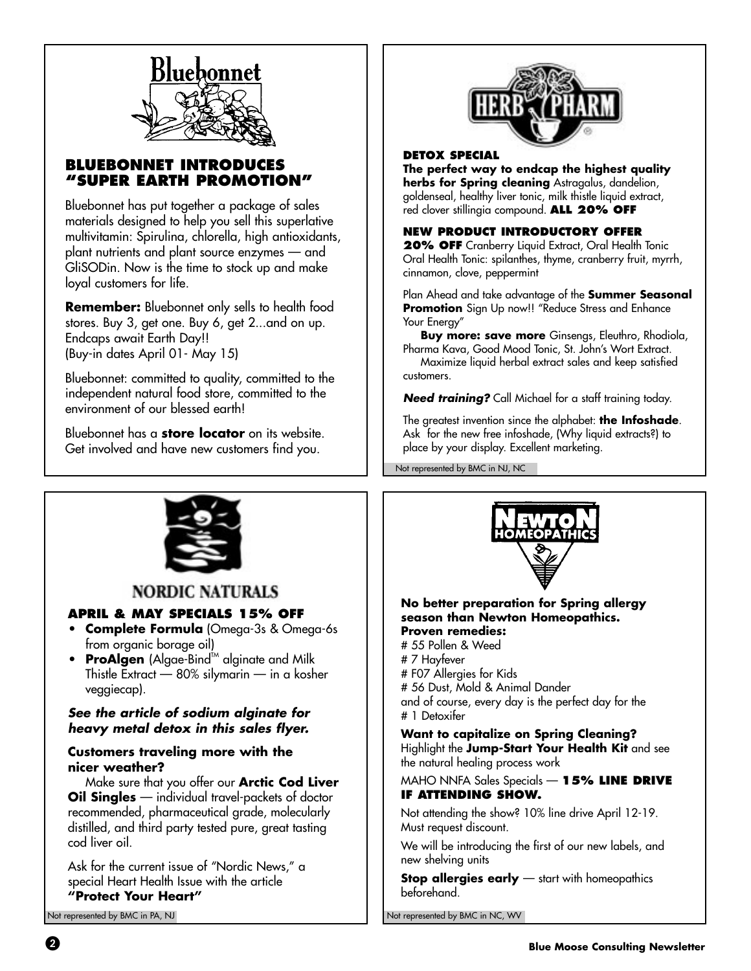

### **BLUEBONNET INTROD "SUPER EARTH PROMOTION"**

Bluebonnet has put together a package of sales materials designed to help you sell this superlative multivitamin: Spirulina, chlorella, high antioxidants, plant nutrients and plant source enzymes — and GliSODin. Now is the time to stock up and make loyal customers for life.

**Remember:** Bluebonnet only sells to health food stores. Buy 3, get one. Buy 6, get 2...and on up. Endcaps await Earth Day!! (Buy-in dates April 01- May 15)

Bluebonnet: committed to quality, committed to the independent natural food store, committed to the environment of our blessed earth!

Bluebonnet has a **store locator** on its website. Get involved and have new customers find you.



#### **DETOX SPECIAL**

**The perfect way to endcap the highest quality herbs for Spring cleaning** Astragalus, dandelion, goldenseal, healthy liver tonic, milk thistle liquid extract, red clover stillingia compound. **ALL 20% OFF**

### **NEW PRODUCT INTRODUCTORY OFFER**

**20% OFF** Cranberry Liquid Extract, Oral Health Tonic Oral Health Tonic: spilanthes, thyme, cranberry fruit, myrrh, cinnamon, clove, peppermint

Plan Ahead and take advantage of the **Summer Seasonal Promotion** Sign Up now!! "Reduce Stress and Enhance Your Energy"

**Buy more: save more** Ginsengs, Eleuthro, Rhodiola, Pharma Kava, Good Mood Tonic, St. John's Wort Extract.

Maximize liquid herbal extract sales and keep satisfied customers.

**Need training?** Call Michael for a staff training today.

The greatest invention since the alphabet: **the Infoshade**. Ask for the new free infoshade, (Why liquid extracts?) to place by your display. Excellent marketing.

Not represented by BMC in NJ, NC



### **NORDIC NATURALS**

### **APRIL & MAY SPECIALS 15% OFF**

- **Complete Formula** (Omega-3s & Omega-6s from organic borage oil)
- ProAlgen (Algae-Bind<sup>im</sup> alginate and Milk Thistle Extract — 80% silymarin — in a kosher veggiecap).

### **See the article of sodium alginate for heavy metal detox in this sales flyer.**

### **Customers traveling more with the nicer weather?**

Make sure that you offer our **Arctic Cod Liver Oil Singles** — individual travel-packets of doctor recommended, pharmaceutical grade, molecularly distilled, and third party tested pure, great tasting cod liver oil.

Ask for the current issue of "Nordic News," a special Heart Health Issue with the article

### **"Protect Your Heart"**



#### **No better preparation for Spring allergy season than Newton Homeopathics. Proven remedies:**

# 55 Pollen & Weed # 7 Hayfever # F07 Allergies for Kids # 56 Dust, Mold & Animal Dander and of course, every day is the perfect day for the # 1 Detoxifer

### **Want to capitalize on Spring Cleaning?**

Highlight the **Jump-Start Your Health Kit** and see the natural healing process work

### MAHO NNFA Sales Specials — **15% LINE DRIVE IF ATTENDING SHOW.**

Not attending the show? 10% line drive April 12-19. Must request discount.

We will be introducing the first of our new labels, and new shelving units

**Stop allergies early** — start with homeopathics beforehand.

Not represented by BMC in PA, NJ Not represented by BMC in NC, WV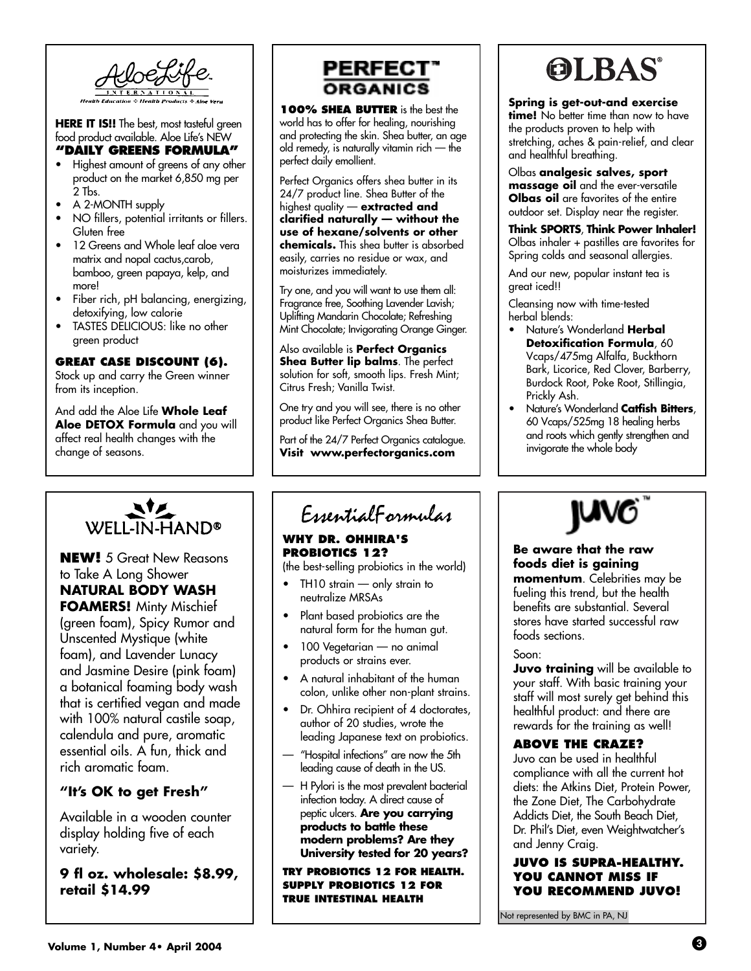

**HERE IT IS!!** The best, most tasteful green food product available. Aloe Life's NEW

### **"DAILY GREENS FORMULA"**

- Highest amount of greens of any other product on the market 6,850 mg per 2 Tbs.
- A 2-MONTH supply
- NO fillers, potential irritants or fillers. Gluten free
- 12 Greens and Whole leaf aloe vera matrix and nopal cactus,carob, bamboo, green papaya, kelp, and more!
- Fiber rich, pH balancing, energizing, detoxifying, low calorie
- TASTES DELICIOUS: like no other green product

### **GREAT CASE DISCOUNT (6).**

Stock up and carry the Green winner from its inception.

And add the Aloe Life **Whole Leaf Aloe DETOX Formula** and you will affect real health changes with the change of seasons.



### **NEW!** 5 Great New Reasons to Take A Long Shower **NATURAL BODY WASH FOAMERS!** Minty Mischief (green foam), Spicy Rumor and Unscented Mystique (white foam), and Lavender Lunacy and Jasmine Desire (pink foam) a botanical foaming body wash that is certified vegan and made with 100% natural castile soap, calendula and pure, aromatic essential oils. A fun, thick and rich aromatic foam.

### **"It's OK to get Fresh"**

Available in a wooden counter display holding five of each variety.

**9 fl oz. wholesale: \$8.99, retail \$14.99**



**100% SHEA BUTTER** is the best the world has to offer for healing, nourishing and protecting the skin. Shea butter, an age old remedy, is naturally vitamin rich — the perfect daily emollient.

Perfect Organics offers shea butter in its 24/7 product line. Shea Butter of the highest quality — **extracted and clarified naturally — without the use of hexane/solvents or other chemicals.** This shea butter is absorbed easily, carries no residue or wax, and moisturizes immediately.

Try one, and you will want to use them all: Fragrance free, Soothing Lavender Lavish; Uplifting Mandarin Chocolate; Refreshing Mint Chocolate; Invigorating Orange Ginger.

Also available is **Perfect Organics Shea Butter lip balms**. The perfect solution for soft, smooth lips. Fresh Mint; Citrus Fresh; Vanilla Twist.

One try and you will see, there is no other product like Perfect Organics Shea Butter.

Part of the 24/7 Perfect Organics catalogue. **Visit www.perfectorganics.com**

### EssentialFormulas

### **WHY DR. OHHIRA'S PROBIOTICS 12?**

(the best-selling probiotics in the world)

- $TH10$  strain  $-$  only strain to neutralize MRSAs
- Plant based probiotics are the natural form for the human gut.
- 100 Vegetarian no animal products or strains ever.
- A natural inhabitant of the human colon, unlike other non-plant strains.
- Dr. Ohhira recipient of 4 doctorates, author of 20 studies, wrote the leading Japanese text on probiotics.
- "Hospital infections" are now the 5th leading cause of death in the US.
- H Pylori is the most prevalent bacterial infection today. A direct cause of peptic ulcers. **Are you carrying products to battle these modern problems? Are they University tested for 20 years?**

**TRY PROBIOTICS 12 FOR HEALTH. SUPPLY PROBIOTICS 12 FOR TRUE INTESTINAL HEALTH**



### **Spring is get-out-and exercise**

**time!** No better time than now to have the products proven to help with stretching, aches & pain-relief, and clear and healthful breathing.

Olbas **analgesic salves, sport massage oil** and the ever-versatile **Olbas oil** are favorites of the entire outdoor set. Display near the register.

**Think SPORTS**, **Think Power Inhaler!** Olbas inhaler + pastilles are favorites for Spring colds and seasonal allergies.

And our new, popular instant tea is great iced!!

Cleansing now with time-tested herbal blends:

- Nature's Wonderland **Herbal Detoxification Formula, 60** Vcaps/475mg Alfalfa, Buckthorn Bark, Licorice, Red Clover, Barberry, Burdock Root, Poke Root, Stillingia, Prickly Ash.
- Nature's Wonderland **Catfish Bitters**, 60 Vcaps/525mg 18 healing herbs and roots which gently strengthen and invigorate the whole body



**Be aware that the raw foods diet is gaining momentum**. Celebrities may be fueling this trend, but the health benefits are substantial. Several stores have started successful raw foods sections.

Soon:

**Juvo training** will be available to your staff. With basic training your staff will most surely get behind this healthful product: and there are rewards for the training as well!

### **ABOVE THE CRAZE?**

Juvo can be used in healthful compliance with all the current hot diets: the Atkins Diet, Protein Power, the Zone Diet, The Carbohydrate Addicts Diet, the South Beach Diet, Dr. Phil's Diet, even Weightwatcher's and Jenny Craig.

### **JUVO IS SUPRA-HEALTHY. YOU CANNOT MISS IF YOU RECOMMEND JUVO!**

Not represented by BMC in PA, NJ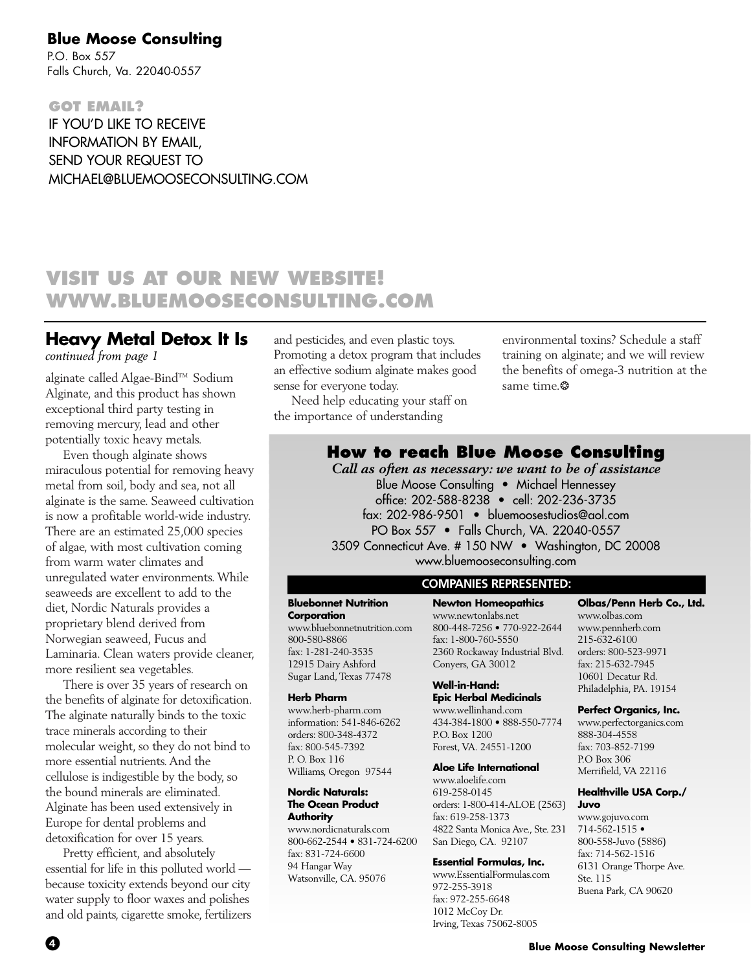### **Blue Moose Consulting**

P.O. Box 557 Falls Church, Va. 22040-0557

**GOT EMAIL?** IF YOU'D LIKE TO RECEIVE INFORMATION BY EMAIL, SEND YOUR REQUEST TO MICHAEL@BLUEMOOSECONSULTING.COM

### **VISIT US AT OUR NEW WEBSITE! WWW.BLUEMOOSECONSULTING.COM**

### **Heavy Metal Detox It Is**

*continued from page 1*

alginate called Algae-Bind™ Sodium Alginate, and this product has shown exceptional third party testing in removing mercury, lead and other potentially toxic heavy metals.

Even though alginate shows miraculous potential for removing heavy metal from soil, body and sea, not all alginate is the same. Seaweed cultivation is now a profitable world-wide industry. There are an estimated 25,000 species of algae, with most cultivation coming from warm water climates and unregulated water environments.While seaweeds are excellent to add to the diet, Nordic Naturals provides a proprietary blend derived from Norwegian seaweed, Fucus and Laminaria. Clean waters provide cleaner, more resilient sea vegetables.

There is over 35 years of research on the benefits of alginate for detoxification. The alginate naturally binds to the toxic trace minerals according to their molecular weight, so they do not bind to more essential nutrients.And the cellulose is indigestible by the body, so the bound minerals are eliminated. Alginate has been used extensively in Europe for dental problems and detoxification for over 15 years.

Pretty efficient, and absolutely essential for life in this polluted world because toxicity extends beyond our city water supply to floor waxes and polishes and old paints, cigarette smoke, fertilizers and pesticides, and even plastic toys. Promoting a detox program that includes an effective sodium alginate makes good sense for everyone today.

Need help educating your staff on the importance of understanding

environmental toxins? Schedule a staff training on alginate; and we will review the benefits of omega-3 nutrition at the same time.\*

### **How to reach Blue Moose Consulting**

*Call as often as necessary: we want to be of assistance* Blue Moose Consulting • Michael Hennessey office: 202-588-8238 • cell: 202-236-3735 fax: 202-986-9501 • bluemoosestudios@aol.com PO Box 557 • Falls Church, VA. 22040-0557 3509 Connecticut Ave. # 150 NW • Washington, DC 20008 www.bluemooseconsulting.com

### **COMPANIES REPRESENTED:**

### **Bluebonnet Nutrition**

**Corporation** www.bluebonnetnutrition.com 800-580-8866 fax: 1-281-240-3535 12915 Dairy Ashford Sugar Land, Texas 77478

#### **Herb Pharm**

www.herb-pharm.com information: 541-846-6262 orders: 800-348-4372 fax: 800-545-7392 P. O. Box 116 Williams, Oregon 97544

#### **Nordic Naturals: The Ocean Product Authority**

www.nordicnaturals.com 800-662-2544 • 831-724-6200 fax: 831-724-6600 94 Hangar Way Watsonville, CA. 95076

**Newton Homeopathics** www.newtonlabs.net 800-448-7256 • 770-922-2644 fax: 1-800-760-5550 2360 Rockaway Industrial Blvd. Conyers, GA 30012

#### **Well-in-Hand: Epic Herbal Medicinals**

www.wellinhand.com 434-384-1800 • 888-550-7774 P.O. Box 1200 Forest, VA. 24551-1200

#### **Aloe Life International**

www.aloelife.com 619-258-0145 orders: 1-800-414-ALOE (2563) fax: 619-258-1373 4822 Santa Monica Ave., Ste. 231 San Diego, CA. 92107

#### **Essential Formulas, Inc.**

www.EssentialFormulas.com 972-255-3918 fax: 972-255-6648 1012 McCoy Dr. Irving, Texas 75062-8005

#### **Olbas/Penn Herb Co., Ltd.** www.olbas.com www.pennherb.com 215-632-6100 orders: 800-523-9971 fax: 215-632-7945 10601 Decatur Rd.

### Philadelphia, PA. 19154 **Perfect Organics, Inc.**

www.perfectorganics.com 888-304-4558 fax: 703-852-7199 P.O Box 306 Merrifield, VA 22116

#### **Healthville USA Corp./ Juvo**

www.gojuvo.com 714-562-1515 • 800-558-Juvo (5886) fax: 714-562-1516 6131 Orange Thorpe Ave. Ste. 115 Buena Park, CA 90620

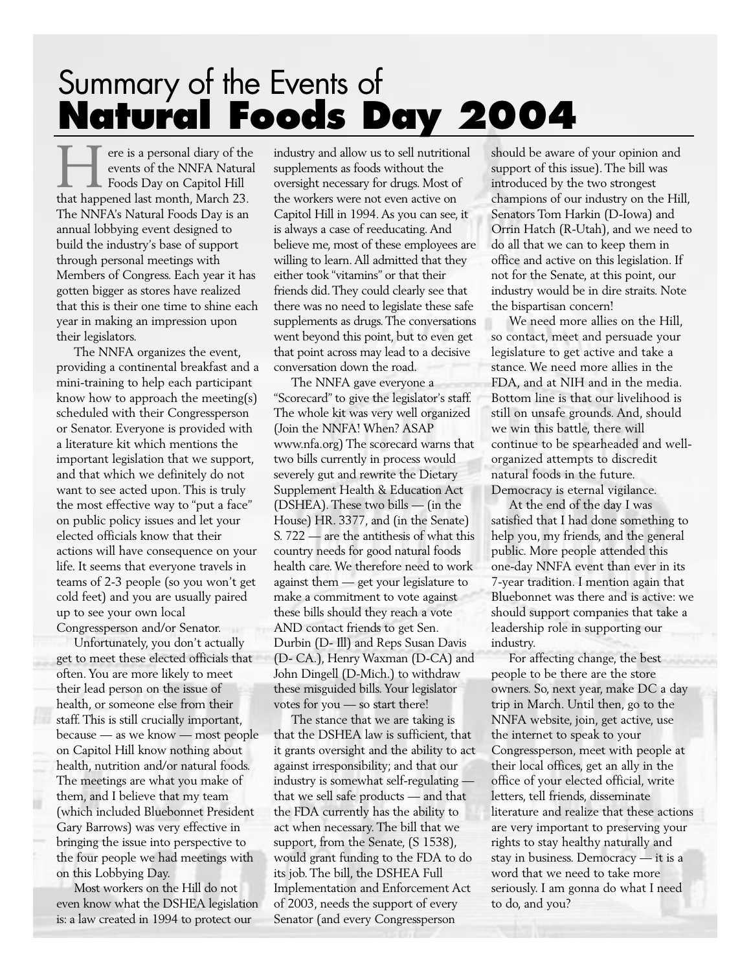## Summary of the Events of **Natural Foods Day 2004**

ere is a personal diary of the events of the NNFA Natural Foods Day on Capitol Hill There is a personal diary of the NNFA Natural Foods Day on Capitol Hill<br>that happened last month, March 23. The NNFA's Natural Foods Day is an annual lobbying event designed to build the industry's base of support through personal meetings with Members of Congress. Each year it has gotten bigger as stores have realized that this is their one time to shine each year in making an impression upon their legislators.

The NNFA organizes the event, providing a continental breakfast and a mini-training to help each participant know how to approach the meeting(s) scheduled with their Congressperson or Senator. Everyone is provided with a literature kit which mentions the important legislation that we support, and that which we definitely do not want to see acted upon. This is truly the most effective way to "put a face" on public policy issues and let your elected officials know that their actions will have consequence on your life. It seems that everyone travels in teams of 2-3 people (so you won't get cold feet) and you are usually paired up to see your own local Congressperson and/or Senator.

Unfortunately, you don't actually get to meet these elected officials that often. You are more likely to meet their lead person on the issue of health, or someone else from their staff. This is still crucially important, because — as we know — most people on Capitol Hill know nothing about health, nutrition and/or natural foods. The meetings are what you make of them, and I believe that my team (which included Bluebonnet President Gary Barrows) was very effective in bringing the issue into perspective to the four people we had meetings with on this Lobbying Day.

Most workers on the Hill do not even know what the DSHEA legislation is: a law created in 1994 to protect our

industry and allow us to sell nutritional supplements as foods without the oversight necessary for drugs. Most of the workers were not even active on Capitol Hill in 1994. As you can see, it is always a case of reeducating. And believe me, most of these employees are willing to learn. All admitted that they either took "vitamins" or that their friends did. They could clearly see that there was no need to legislate these safe supplements as drugs. The conversations went beyond this point, but to even get that point across may lead to a decisive conversation down the road.

The NNFA gave everyone a "Scorecard" to give the legislator's staff. The whole kit was very well organized (Join the NNFA! When? ASAP www.nfa.org) The scorecard warns that two bills currently in process would severely gut and rewrite the Dietary Supplement Health & Education Act (DSHEA). These two bills — (in the House) HR. 3377, and (in the Senate) S. 722 — are the antithesis of what this country needs for good natural foods health care. We therefore need to work against them — get your legislature to make a commitment to vote against these bills should they reach a vote AND contact friends to get Sen. Durbin (D- Ill) and Reps Susan Davis (D- CA.), Henry Waxman (D-CA) and John Dingell (D-Mich.) to withdraw these misguided bills. Your legislator votes for you — so start there!

The stance that we are taking is that the DSHEA law is sufficient, that it grants oversight and the ability to act against irresponsibility; and that our industry is somewhat self-regulating that we sell safe products — and that the FDA currently has the ability to act when necessary. The bill that we support, from the Senate, (S 1538), would grant funding to the FDA to do its job. The bill, the DSHEA Full Implementation and Enforcement Act of 2003, needs the support of every Senator (and every Congressperson

should be aware of your opinion and support of this issue). The bill was introduced by the two strongest champions of our industry on the Hill, Senators Tom Harkin (D-Iowa) and Orrin Hatch (R-Utah), and we need to do all that we can to keep them in office and active on this legislation. If not for the Senate, at this point, our industry would be in dire straits. Note the bispartisan concern!

We need more allies on the Hill, so contact, meet and persuade your legislature to get active and take a stance. We need more allies in the FDA, and at NIH and in the media. Bottom line is that our livelihood is still on unsafe grounds. And, should we win this battle, there will continue to be spearheaded and wellorganized attempts to discredit natural foods in the future. Democracy is eternal vigilance.

At the end of the day I was satisfied that I had done something to help you, my friends, and the general public. More people attended this one-day NNFA event than ever in its 7-year tradition. I mention again that Bluebonnet was there and is active: we should support companies that take a leadership role in supporting our industry.

For affecting change, the best people to be there are the store owners. So, next year, make DC a day trip in March. Until then, go to the NNFA website, join, get active, use the internet to speak to your Congressperson, meet with people at their local offices, get an ally in the office of your elected official, write letters, tell friends, disseminate literature and realize that these actions are very important to preserving your rights to stay healthy naturally and stay in business. Democracy — it is a word that we need to take more seriously. I am gonna do what I need to do, and you?